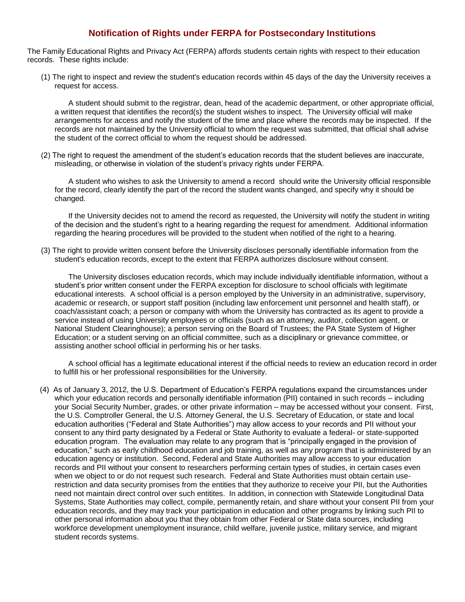## **Notification of Rights under FERPA for Postsecondary Institutions**

The Family Educational Rights and Privacy Act (FERPA) affords students certain rights with respect to their education records. These rights include:

(1) The right to inspect and review the student's education records within 45 days of the day the University receives a request for access.

A student should submit to the registrar, dean, head of the academic department, or other appropriate official, a written request that identifies the record(s) the student wishes to inspect. The University official will make arrangements for access and notify the student of the time and place where the records may be inspected. If the records are not maintained by the University official to whom the request was submitted, that official shall advise the student of the correct official to whom the request should be addressed.

(2) The right to request the amendment of the student's education records that the student believes are inaccurate, misleading, or otherwise in violation of the student's privacy rights under FERPA.

A student who wishes to ask the University to amend a record should write the University official responsible for the record, clearly identify the part of the record the student wants changed, and specify why it should be changed.

If the University decides not to amend the record as requested, the University will notify the student in writing of the decision and the student's right to a hearing regarding the request for amendment. Additional information regarding the hearing procedures will be provided to the student when notified of the right to a hearing.

(3) The right to provide written consent before the University discloses personally identifiable information from the student's education records, except to the extent that FERPA authorizes disclosure without consent.

The University discloses education records, which may include individually identifiable information, without a student's prior written consent under the FERPA exception for disclosure to school officials with legitimate educational interests. A school official is a person employed by the University in an administrative, supervisory, academic or research, or support staff position (including law enforcement unit personnel and health staff), or coach/assistant coach; a person or company with whom the University has contracted as its agent to provide a service instead of using University employees or officials (such as an attorney, auditor, collection agent, or National Student Clearinghouse); a person serving on the Board of Trustees; the PA State System of Higher Education; or a student serving on an official committee, such as a disciplinary or grievance committee, or assisting another school official in performing his or her tasks.

A school official has a legitimate educational interest if the official needs to review an education record in order to fulfill his or her professional responsibilities for the University.

 (4) As of January 3, 2012, the U.S. Department of Education's FERPA regulations expand the circumstances under which your education records and personally identifiable information (PII) contained in such records – including your Social Security Number, grades, or other private information – may be accessed without your consent. First, the U.S. Comptroller General, the U.S. Attorney General, the U.S. Secretary of Education, or state and local education authorities ("Federal and State Authorities") may allow access to your records and PII without your consent to any third party designated by a Federal or State Authority to evaluate a federal- or state-supported education program. The evaluation may relate to any program that is "principally engaged in the provision of education," such as early childhood education and job training, as well as any program that is administered by an education agency or institution. Second, Federal and State Authorities may allow access to your education records and PII without your consent to researchers performing certain types of studies, in certain cases even when we object to or do not request such research. Federal and State Authorities must obtain certain userestriction and data security promises from the entities that they authorize to receive your PII, but the Authorities need not maintain direct control over such entitites. In addition, in connection with Statewide Longitudinal Data Systems, State Authorities may collect, compile, permanently retain, and share without your consent PII from your education records, and they may track your participation in education and other programs by linking such PII to other personal information about you that they obtain from other Federal or State data sources, including workforce development unemployment insurance, child welfare, juvenile justice, military service, and migrant student records systems.